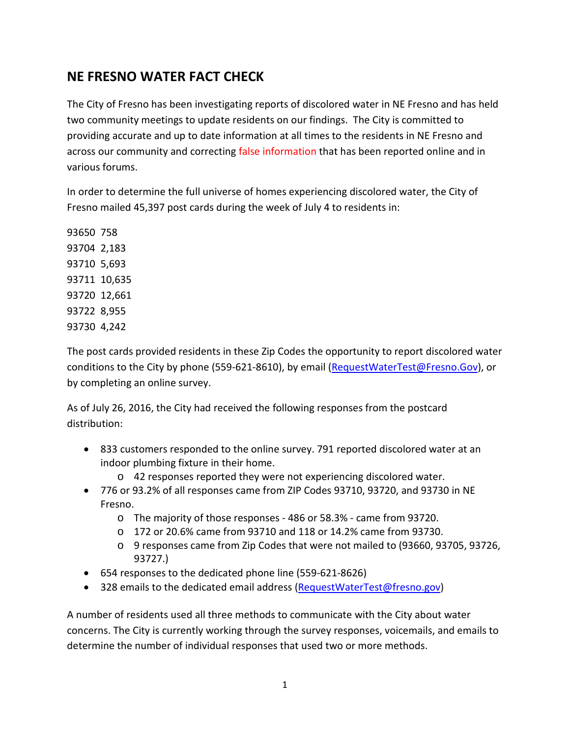## **NE FRESNO WATER FACT CHECK**

The City of Fresno has been investigating reports of discolored water in NE Fresno and has held two community meetings to update residents on our findings. The City is committed to providing accurate and up to date information at all times to the residents in NE Fresno and across our community and correcting false information that has been reported online and in various forums.

In order to determine the full universe of homes experiencing discolored water, the City of Fresno mailed 45,397 post cards during the week of July 4 to residents in:

93650 758 93704 2,183 93710 5,693 93711 10,635 93720 12,661 93722 8,955 93730 4,242

The post cards provided residents in these Zip Codes the opportunity to report discolored water conditions to the City by phone (559-621-8610), by email [\(RequestWaterTest@Fresno.Gov\)](mailto:RequestWaterTest@Fresno.Gov), or by completing an online survey.

As of July 26, 2016, the City had received the following responses from the postcard distribution:

- 833 customers responded to the online survey. 791 reported discolored water at an indoor plumbing fixture in their home.
	- o 42 responses reported they were not experiencing discolored water.
- 776 or 93.2% of all responses came from ZIP Codes 93710, 93720, and 93730 in NE Fresno.
	- o The majority of those responses 486 or 58.3% came from 93720.
	- o 172 or 20.6% came from 93710 and 118 or 14.2% came from 93730.
	- o 9 responses came from Zip Codes that were not mailed to (93660, 93705, 93726, 93727.)
- 654 responses to the dedicated phone line (559-621-8626)
- 328 emails to the dedicated email address [\(RequestWaterTest@fresno.gov\)](mailto:RequestWaterTest@fresno.gov)

A number of residents used all three methods to communicate with the City about water concerns. The City is currently working through the survey responses, voicemails, and emails to determine the number of individual responses that used two or more methods.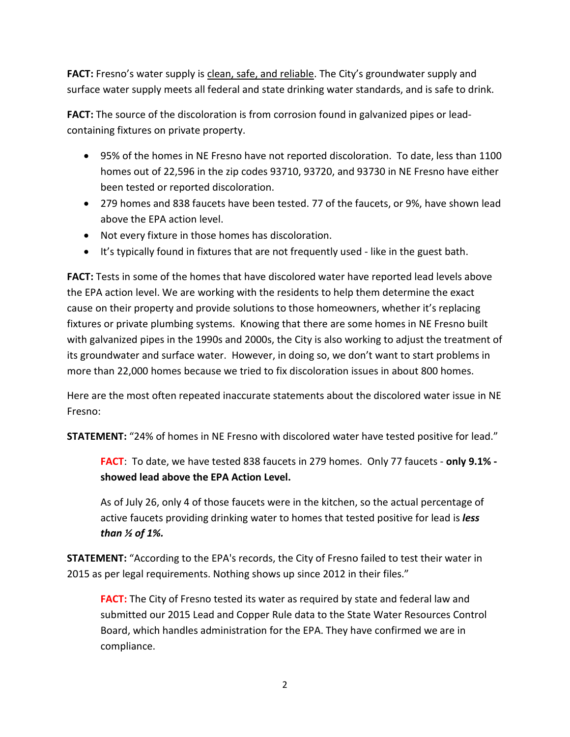**FACT:** Fresno's water supply is clean, safe, and reliable. The City's groundwater supply and surface water supply meets all federal and state drinking water standards, and is safe to drink.

**FACT:** The source of the discoloration is from corrosion found in galvanized pipes or leadcontaining fixtures on private property.

- 95% of the homes in NE Fresno have not reported discoloration. To date, less than 1100 homes out of 22,596 in the zip codes 93710, 93720, and 93730 in NE Fresno have either been tested or reported discoloration.
- 279 homes and 838 faucets have been tested. 77 of the faucets, or 9%, have shown lead above the EPA action level.
- Not every fixture in those homes has discoloration.
- It's typically found in fixtures that are not frequently used like in the guest bath.

**FACT:** Tests in some of the homes that have discolored water have reported lead levels above the EPA action level. We are working with the residents to help them determine the exact cause on their property and provide solutions to those homeowners, whether it's replacing fixtures or private plumbing systems. Knowing that there are some homes in NE Fresno built with galvanized pipes in the 1990s and 2000s, the City is also working to adjust the treatment of its groundwater and surface water. However, in doing so, we don't want to start problems in more than 22,000 homes because we tried to fix discoloration issues in about 800 homes.

Here are the most often repeated inaccurate statements about the discolored water issue in NE Fresno:

**STATEMENT:** "24% of homes in NE Fresno with discolored water have tested positive for lead."

**FACT**: To date, we have tested 838 faucets in 279 homes. Only 77 faucets - **only 9.1% showed lead above the EPA Action Level.**

As of July 26, only 4 of those faucets were in the kitchen, so the actual percentage of active faucets providing drinking water to homes that tested positive for lead is *less than ½ of 1%.*

**STATEMENT:** "According to the EPA's records, the City of Fresno failed to test their water in 2015 as per legal requirements. Nothing shows up since 2012 in their files."

**FACT:** The City of Fresno tested its water as required by state and federal law and submitted our 2015 Lead and Copper Rule data to the State Water Resources Control Board, which handles administration for the EPA. They have confirmed we are in compliance.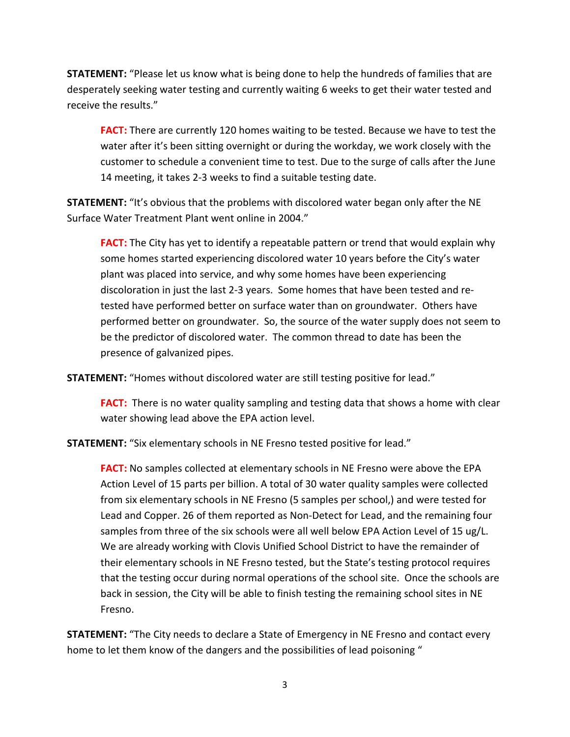**STATEMENT:** "Please let us know what is being done to help the hundreds of families that are desperately seeking water testing and currently waiting 6 weeks to get their water tested and receive the results."

**FACT:** There are currently 120 homes waiting to be tested. Because we have to test the water after it's been sitting overnight or during the workday, we work closely with the customer to schedule a convenient time to test. Due to the surge of calls after the June 14 meeting, it takes 2-3 weeks to find a suitable testing date.

**STATEMENT:** "It's obvious that the problems with discolored water began only after the NE Surface Water Treatment Plant went online in 2004."

**FACT:** The City has yet to identify a repeatable pattern or trend that would explain why some homes started experiencing discolored water 10 years before the City's water plant was placed into service, and why some homes have been experiencing discoloration in just the last 2-3 years. Some homes that have been tested and retested have performed better on surface water than on groundwater. Others have performed better on groundwater. So, the source of the water supply does not seem to be the predictor of discolored water. The common thread to date has been the presence of galvanized pipes.

**STATEMENT:** "Homes without discolored water are still testing positive for lead."

**FACT:** There is no water quality sampling and testing data that shows a home with clear water showing lead above the EPA action level.

**STATEMENT:** "Six elementary schools in NE Fresno tested positive for lead."

**FACT:** No samples collected at elementary schools in NE Fresno were above the EPA Action Level of 15 parts per billion. A total of 30 water quality samples were collected from six elementary schools in NE Fresno (5 samples per school,) and were tested for Lead and Copper. 26 of them reported as Non-Detect for Lead, and the remaining four samples from three of the six schools were all well below EPA Action Level of 15 ug/L. We are already working with Clovis Unified School District to have the remainder of their elementary schools in NE Fresno tested, but the State's testing protocol requires that the testing occur during normal operations of the school site. Once the schools are back in session, the City will be able to finish testing the remaining school sites in NE Fresno.

**STATEMENT:** "The City needs to declare a State of Emergency in NE Fresno and contact every home to let them know of the dangers and the possibilities of lead poisoning "